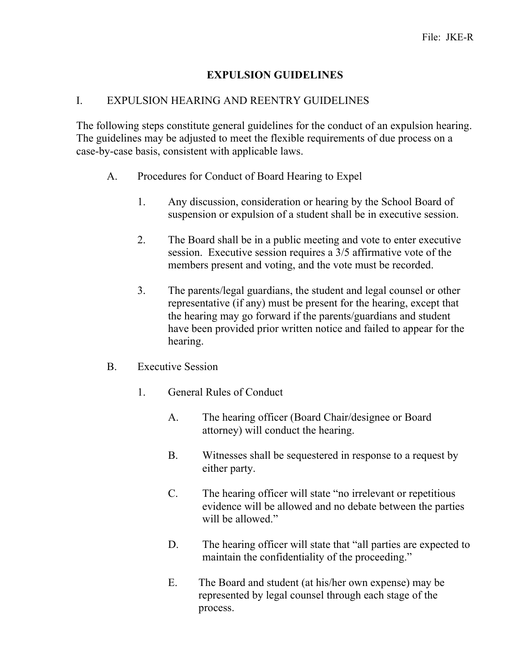## **EXPULSION GUIDELINES**

#### I. EXPULSION HEARING AND REENTRY GUIDELINES

The following steps constitute general guidelines for the conduct of an expulsion hearing. The guidelines may be adjusted to meet the flexible requirements of due process on a case-by-case basis, consistent with applicable laws.

- A. Procedures for Conduct of Board Hearing to Expel
	- 1. Any discussion, consideration or hearing by the School Board of suspension or expulsion of a student shall be in executive session.
	- 2. The Board shall be in a public meeting and vote to enter executive session. Executive session requires a 3/5 affirmative vote of the members present and voting, and the vote must be recorded.
	- 3. The parents/legal guardians, the student and legal counsel or other representative (if any) must be present for the hearing, except that the hearing may go forward if the parents/guardians and student have been provided prior written notice and failed to appear for the hearing.
- B. Executive Session
	- 1. General Rules of Conduct
		- A. The hearing officer (Board Chair/designee or Board attorney) will conduct the hearing.
		- B. Witnesses shall be sequestered in response to a request by either party.
		- C. The hearing officer will state "no irrelevant or repetitious evidence will be allowed and no debate between the parties will be allowed."
		- D. The hearing officer will state that "all parties are expected to maintain the confidentiality of the proceeding."
		- E. The Board and student (at his/her own expense) may be represented by legal counsel through each stage of the process.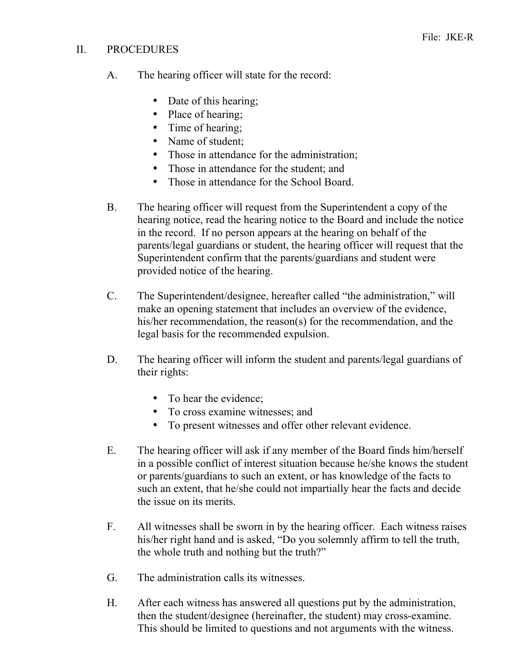## II. PROCEDURES

- A. The hearing officer will state for the record:
	- Date of this hearing;
	- Place of hearing;
	- Time of hearing;
	- Name of student:
	- Those in attendance for the administration;
	- Those in attendance for the student; and
	- Those in attendance for the School Board.
- B. The hearing officer will request from the Superintendent a copy of the hearing notice, read the hearing notice to the Board and include the notice in the record. If no person appears at the hearing on behalf of the parents/legal guardians or student, the hearing officer will request that the Superintendent confirm that the parents/guardians and student were provided notice of the hearing.
- C. The Superintendent/designee, hereafter called "the administration," will make an opening statement that includes an overview of the evidence, his/her recommendation, the reason(s) for the recommendation, and the legal basis for the recommended expulsion.
- D. The hearing officer will inform the student and parents/legal guardians of their rights:
	- To hear the evidence;
	- To cross examine witnesses; and
	- To present witnesses and offer other relevant evidence.
- E. The hearing officer will ask if any member of the Board finds him/herself in a possible conflict of interest situation because he/she knows the student or parents/guardians to such an extent, or has knowledge of the facts to such an extent, that he/she could not impartially hear the facts and decide the issue on its merits.
- F. All witnesses shall be sworn in by the hearing officer. Each witness raises his/her right hand and is asked, "Do you solemnly affirm to tell the truth, the whole truth and nothing but the truth?"
- G. The administration calls its witnesses.
- H. After each witness has answered all questions put by the administration, then the student/designee (hereinafter, the student) may cross-examine. This should be limited to questions and not arguments with the witness.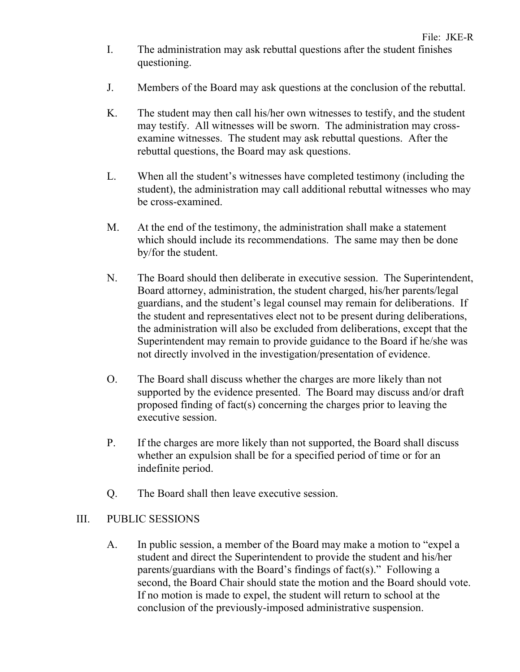- I. The administration may ask rebuttal questions after the student finishes questioning.
- J. Members of the Board may ask questions at the conclusion of the rebuttal.
- K. The student may then call his/her own witnesses to testify, and the student may testify. All witnesses will be sworn. The administration may crossexamine witnesses. The student may ask rebuttal questions. After the rebuttal questions, the Board may ask questions.
- L. When all the student's witnesses have completed testimony (including the student), the administration may call additional rebuttal witnesses who may be cross-examined.
- M. At the end of the testimony, the administration shall make a statement which should include its recommendations. The same may then be done by/for the student.
- N. The Board should then deliberate in executive session. The Superintendent, Board attorney, administration, the student charged, his/her parents/legal guardians, and the student's legal counsel may remain for deliberations. If the student and representatives elect not to be present during deliberations, the administration will also be excluded from deliberations, except that the Superintendent may remain to provide guidance to the Board if he/she was not directly involved in the investigation/presentation of evidence.
- O. The Board shall discuss whether the charges are more likely than not supported by the evidence presented. The Board may discuss and/or draft proposed finding of fact(s) concerning the charges prior to leaving the executive session.
- P. If the charges are more likely than not supported, the Board shall discuss whether an expulsion shall be for a specified period of time or for an indefinite period.
- Q. The Board shall then leave executive session.

#### III. PUBLIC SESSIONS

A. In public session, a member of the Board may make a motion to "expel a student and direct the Superintendent to provide the student and his/her parents/guardians with the Board's findings of fact(s)." Following a second, the Board Chair should state the motion and the Board should vote. If no motion is made to expel, the student will return to school at the conclusion of the previously-imposed administrative suspension.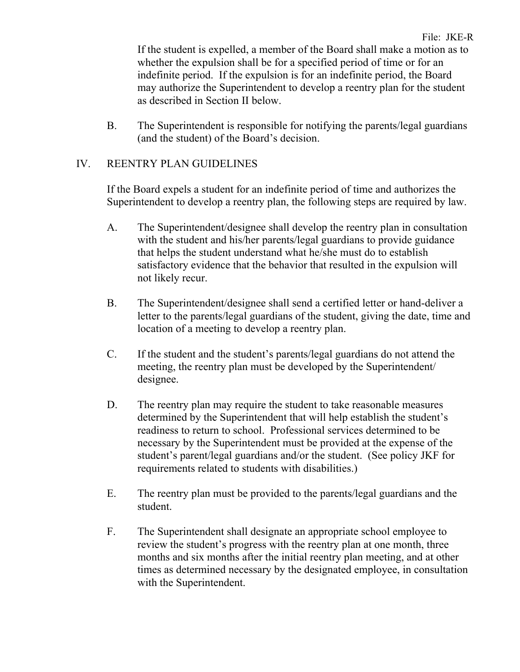If the student is expelled, a member of the Board shall make a motion as to whether the expulsion shall be for a specified period of time or for an indefinite period. If the expulsion is for an indefinite period, the Board may authorize the Superintendent to develop a reentry plan for the student as described in Section II below.

B. The Superintendent is responsible for notifying the parents/legal guardians (and the student) of the Board's decision.

# IV. REENTRY PLAN GUIDELINES

If the Board expels a student for an indefinite period of time and authorizes the Superintendent to develop a reentry plan, the following steps are required by law.

- A. The Superintendent/designee shall develop the reentry plan in consultation with the student and his/her parents/legal guardians to provide guidance that helps the student understand what he/she must do to establish satisfactory evidence that the behavior that resulted in the expulsion will not likely recur.
- B. The Superintendent/designee shall send a certified letter or hand-deliver a letter to the parents/legal guardians of the student, giving the date, time and location of a meeting to develop a reentry plan.
- C. If the student and the student's parents/legal guardians do not attend the meeting, the reentry plan must be developed by the Superintendent/ designee.
- D. The reentry plan may require the student to take reasonable measures determined by the Superintendent that will help establish the student's readiness to return to school. Professional services determined to be necessary by the Superintendent must be provided at the expense of the student's parent/legal guardians and/or the student. (See policy JKF for requirements related to students with disabilities.)
- E. The reentry plan must be provided to the parents/legal guardians and the student.
- F. The Superintendent shall designate an appropriate school employee to review the student's progress with the reentry plan at one month, three months and six months after the initial reentry plan meeting, and at other times as determined necessary by the designated employee, in consultation with the Superintendent.